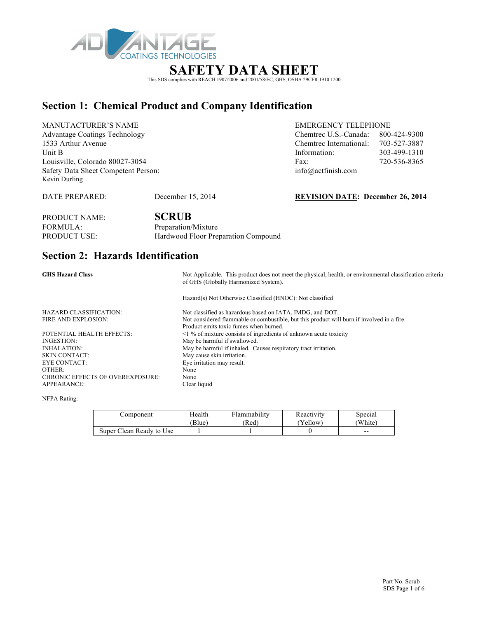

# This SDS complies with REACH 1907/2006 and 2001/58/EC, GHS, OSHA 29CFR 1910.1200

### **Section 1: Chemical Product and Company Identification**

MANUFACTURER'S NAME EMERGENCY TELEPHONE Advantage Coatings Technology Chemtrec U.S.-Canada: 800-424-9300 1533 Arthur Avenue Louisville, Colorado 80027-3054 Safety Data Sheet Competent Person: info@ Kevin Durling

| <b>Advantage Coatings Technology</b> | Chemtrec U.S.-Canada:   | 800-424-9300 |
|--------------------------------------|-------------------------|--------------|
| 1533 Arthur Avenue                   | Chemtrec International: | 703-527-3887 |
| Unit B                               | Information:            | 303-499-1310 |
| Louisville, Colorado 80027-3054      | Fax:                    | 720-536-8365 |
| Safety Data Sheet Competent Person:  | info@actfinish.com      |              |

DATE PREPARED: December 15, 2014 **REVISION DATE: December 26, 2014** 

| <b>PRODUCT NAME:</b> | <b>SCRUB</b>                        |
|----------------------|-------------------------------------|
| FORMULA:             | Preparation/Mixture                 |
| <b>PRODUCT USE:</b>  | Hardwood Floor Preparation Compound |

## **Section 2: Hazards Identification**

| <b>GHS Hazard Class</b>                 | Not Applicable. This product does not meet the physical, health, or environmental classification criteria<br>of GHS (Globally Harmonized System). |  |  |
|-----------------------------------------|---------------------------------------------------------------------------------------------------------------------------------------------------|--|--|
|                                         | Hazard(s) Not Otherwise Classified (HNOC): Not classified                                                                                         |  |  |
| <b>HAZARD CLASSIFICATION:</b>           | Not classified as hazardous based on IATA, IMDG, and DOT.                                                                                         |  |  |
| FIRE AND EXPLOSION:                     | Not considered flammable or combustible, but this product will burn if involved in a fire.<br>Product emits toxic fumes when burned.              |  |  |
| POTENTIAL HEALTH EFFECTS:               | $\leq$ 1 % of mixture consists of ingredients of unknown acute toxicity                                                                           |  |  |
| INGESTION:                              | May be harmful if swallowed.                                                                                                                      |  |  |
| <b>INHALATION:</b>                      | May be harmful if inhaled. Causes respiratory tract irritation.                                                                                   |  |  |
| <b>SKIN CONTACT:</b>                    | May cause skin irritation.                                                                                                                        |  |  |
| EYE CONTACT:                            | Eye irritation may result.                                                                                                                        |  |  |
| OTHER:                                  | None                                                                                                                                              |  |  |
| <b>CHRONIC EFFECTS OF OVEREXPOSURE:</b> | None                                                                                                                                              |  |  |
| <b>APPEARANCE:</b>                      | Clear liquid                                                                                                                                      |  |  |

NFPA Rating:

| ∠omponent                | Health | <b>Flammability</b> | Reactivity | Special |
|--------------------------|--------|---------------------|------------|---------|
|                          | Blue)  | (Red                | 'Yellow)   | (White) |
| Super Clean Ready to Use |        |                     |            | $- -$   |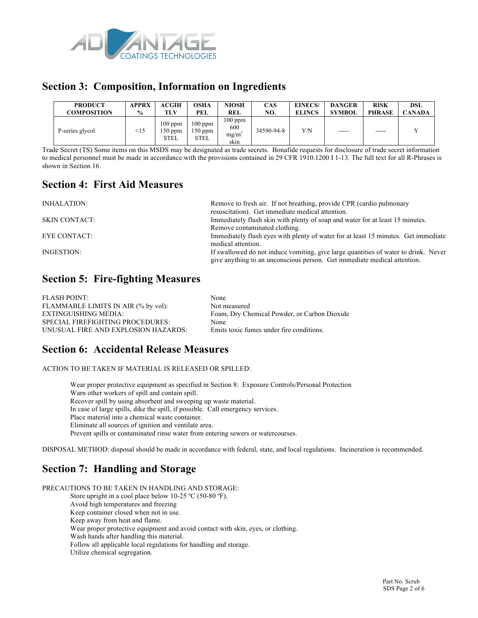

### **Section 3: Composition, Information on Ingredients**

| <b>PRODUCT</b>     | APPRX         | <b>ACGIH</b>                        | OSHA                         | NIOSH                            | <b>CAS</b> | <b>EINECS/</b> | <b>DANGER</b> | <b>RISK</b>   | DSL           |
|--------------------|---------------|-------------------------------------|------------------------------|----------------------------------|------------|----------------|---------------|---------------|---------------|
| <b>COMPOSITION</b> | $\frac{9}{6}$ | TLV                                 | PEL                          | REL                              | NO.        | <b>ELINCS</b>  | <b>SYMBOL</b> | <b>PHRASE</b> | <b>CANADA</b> |
| P-series glycol    | $\leq$ 15     | 100 ppm<br>$150$ ppm<br><b>STEL</b> | $100$ ppm<br>150 ppm<br>STEL | $100$ ppm<br>600<br>mg/m<br>skin | 34590-94-8 | Y/N            | $- - - - -$   | $- - - - -$   |               |

Trade Secret (TS) Some items on this MSDS may be designated as trade secrets. Bonafide requests for disclosure of trade secret information to medical personnel must be made in accordance with the provisions contained in 29 CFR 1910.1200 I 1-13. The full text for all R-Phrases is shown in Section 16.

### **Section 4: First Aid Measures**

| INHALATION:          | Remove to fresh air. If not breathing, provide CPR (cardio pulmonary                |
|----------------------|-------------------------------------------------------------------------------------|
|                      | resuscitation). Get immediate medical attention.                                    |
| <b>SKIN CONTACT:</b> | Immediately flush skin with plenty of soap and water for at least 15 minutes.       |
|                      | Remove contaminated clothing.                                                       |
| EYE CONTACT:         | Immediately flush eyes with plenty of water for at least 15 minutes. Get immediate  |
|                      | medical attention.                                                                  |
| INGESTION:           | If swallowed do not induce vomiting, give large quantities of water to drink. Never |
|                      | give anything to an unconscious person. Get immediate medical attention.            |

### **Section 5: Fire-fighting Measures**

| <b>FLASH POINT:</b>                 | None                                         |
|-------------------------------------|----------------------------------------------|
| FLAMMABLE LIMITS IN AIR (% by vol): | Not measured                                 |
| EXTINGUISHING MEDIA:                | Foam, Dry Chemical Powder, or Carbon Dioxide |
| SPECIAL FIREFIGHTING PROCEDURES:    | None                                         |
| UNUSUAL FIRE AND EXPLOSION HAZARDS: | Emits toxic fumes under fire conditions.     |

### **Section 6: Accidental Release Measures**

ACTION TO BE TAKEN IF MATERIAL IS RELEASED OR SPILLED:

Wear proper protective equipment as specified in Section 8: Exposure Controls/Personal Protection Warn other workers of spill and contain spill. Recover spill by using absorbent and sweeping up waste material. In case of large spills, dike the spill, if possible. Call emergency services. Place material into a chemical waste container. Eliminate all sources of ignition and ventilate area. Prevent spills or contaminated rinse water from entering sewers or watercourses.

DISPOSAL METHOD: disposal should be made in accordance with federal, state, and local regulations. Incineration is recommended.

### **Section 7: Handling and Storage**

PRECAUTIONS TO BE TAKEN IN HANDLING AND STORAGE: Store upright in a cool place below 10-25 °C (50-80 °F). Avoid high temperatures and freezing Keep container closed when not in use. Keep away from heat and flame. Wear proper protective equipment and avoid contact with skin, eyes, or clothing. Wash hands after handling this material. Follow all applicable local regulations for handling and storage. Utilize chemical segregation.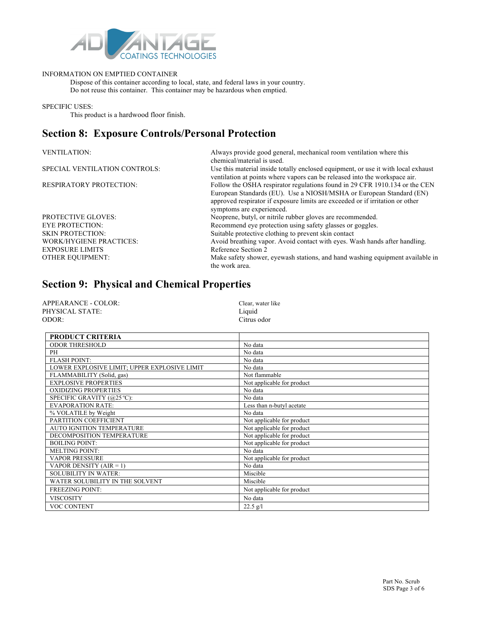

#### INFORMATION ON EMPTIED CONTAINER

Dispose of this container according to local, state, and federal laws in your country. Do not reuse this container. This container may be hazardous when emptied.

SPECIFIC USES:

This product is a hardwood floor finish.

### **Section 8: Exposure Controls/Personal Protection**

| <b>VENTILATION:</b>            | Always provide good general, mechanical room ventilation where this<br>chemical/material is used.                                                               |
|--------------------------------|-----------------------------------------------------------------------------------------------------------------------------------------------------------------|
| SPECIAL VENTILATION CONTROLS:  | Use this material inside totally enclosed equipment, or use it with local exhaust<br>ventilation at points where vapors can be released into the workspace air. |
| <b>RESPIRATORY PROTECTION:</b> | Follow the OSHA respirator regulations found in 29 CFR 1910.134 or the CEN                                                                                      |
|                                | European Standards (EU). Use a NIOSH/MSHA or European Standard (EN)                                                                                             |
|                                | approved respirator if exposure limits are exceeded or if irritation or other                                                                                   |
|                                | symptoms are experienced.                                                                                                                                       |
| <b>PROTECTIVE GLOVES:</b>      | Neoprene, butyl, or nitrile rubber gloves are recommended.                                                                                                      |
| <b>EYE PROTECTION:</b>         | Recommend eye protection using safety glasses or goggles.                                                                                                       |
| <b>SKIN PROTECTION:</b>        | Suitable protective clothing to prevent skin contact                                                                                                            |
| <b>WORK/HYGIENE PRACTICES:</b> | Avoid breathing vapor. Avoid contact with eyes. Wash hands after handling.                                                                                      |
| <b>EXPOSURE LIMITS</b>         | Reference Section 2                                                                                                                                             |
| <b>OTHER EQUIPMENT:</b>        | Make safety shower, eyewash stations, and hand washing equipment available in<br>the work area.                                                                 |

### **Section 9: Physical and Chemical Properties**

| APPEARANCE - COLOR: | Clear, water like |
|---------------------|-------------------|
| PHYSICAL STATE:     | Liquid            |
| ODOR:               | Citrus odor       |

| <b>PRODUCT CRITERIA</b>                      |                            |
|----------------------------------------------|----------------------------|
| ODOR THRESHOLD                               | No data                    |
| PH                                           | No data                    |
| <b>FLASH POINT:</b>                          | No data                    |
| LOWER EXPLOSIVE LIMIT; UPPER EXPLOSIVE LIMIT | No data                    |
| FLAMMABILITY (Solid, gas)                    | Not flammable              |
| <b>EXPLOSIVE PROPERTIES</b>                  | Not applicable for product |
| <b>OXIDIZING PROPERTIES</b>                  | No data                    |
| SPECIFIC GRAVITY (@25 °C):                   | No data                    |
| <b>EVAPORATION RATE:</b>                     | Less than n-butyl acetate  |
| % VOLATILE by Weight                         | No data                    |
| PARTITION COEFFICIENT                        | Not applicable for product |
| <b>AUTO IGNITION TEMPERATURE</b>             | Not applicable for product |
| DECOMPOSITION TEMPERATURE                    | Not applicable for product |
| <b>BOILING POINT:</b>                        | Not applicable for product |
| <b>MELTING POINT:</b>                        | No data                    |
| <b>VAPOR PRESSURE</b>                        | Not applicable for product |
| VAPOR DENSITY $(AIR = 1)$                    | No data                    |
| <b>SOLUBILITY IN WATER:</b>                  | Miscible                   |
| WATER SOLUBILITY IN THE SOLVENT              | Miscible                   |
| <b>FREEZING POINT:</b>                       | Not applicable for product |
| <b>VISCOSITY</b>                             | No data                    |
| <b>VOC CONTENT</b>                           | $22.5$ g/l                 |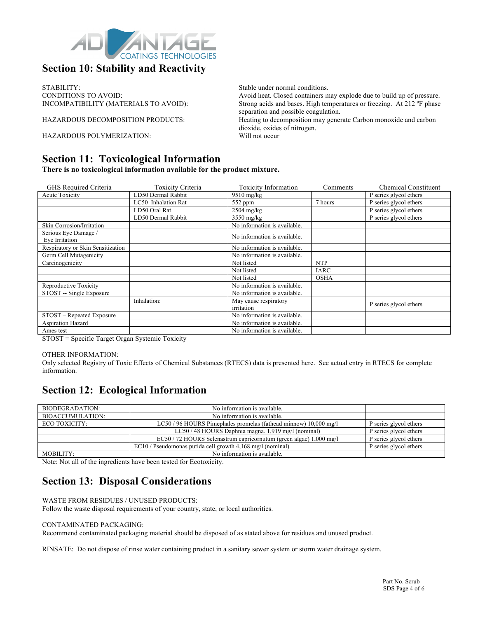

### **Section 10: Stability and Reactivity**

STABILITY:<br>
Stable under normal conditions.<br>
Avoid heat. Closed containers normal conditions.<br>
Avoid heat. Closed containers n

HAZARDOUS POLYMERIZATION: Will not occur

#### **Section 11: Toxicological Information**

**There is no toxicological information available for the product mixture.**

| GHS Required Criteria             | <b>Toxicity Criteria</b> | <b>Toxicity Information</b>  | Comments    | <b>Chemical Constituent</b>         |
|-----------------------------------|--------------------------|------------------------------|-------------|-------------------------------------|
| <b>Acute Toxicity</b>             | LD50 Dermal Rabbit       | $9510$ mg/kg                 |             | P series glycol ethers              |
|                                   | LC50 Inhalation Rat      | 552 ppm                      | 7 hours     | P series glycol ethers              |
|                                   | LD50 Oral Rat            | $2504$ mg/kg                 |             | P series glycol ethers              |
|                                   | LD50 Dermal Rabbit       | $3550$ mg/kg                 |             | $\overline{P}$ series glycol ethers |
| <b>Skin Corrosion/Irritation</b>  |                          | No information is available. |             |                                     |
| Serious Eye Damage /              |                          | No information is available. |             |                                     |
| Eye Irritation                    |                          |                              |             |                                     |
| Respiratory or Skin Sensitization |                          | No information is available. |             |                                     |
| Germ Cell Mutagenicity            |                          | No information is available. |             |                                     |
| Carcinogenicity                   |                          | Not listed                   | <b>NTP</b>  |                                     |
|                                   |                          | Not listed                   | <b>IARC</b> |                                     |
|                                   |                          | Not listed                   | <b>OSHA</b> |                                     |
| Reproductive Toxicity             |                          | No information is available. |             |                                     |
| STOST -- Single Exposure          |                          | No information is available. |             |                                     |
|                                   | Inhalation:              | May cause respiratory        |             | P series glycol ethers              |
|                                   |                          | irritation                   |             |                                     |
| STOST - Repeated Exposure         |                          | No information is available. |             |                                     |
| Aspiration Hazard                 |                          | No information is available. |             |                                     |
| Ames test                         |                          | No information is available. |             |                                     |

STOST = Specific Target Organ Systemic Toxicity

#### OTHER INFORMATION:

Only selected Registry of Toxic Effects of Chemical Substances (RTECS) data is presented here. See actual entry in RTECS for complete information.

### **Section 12: Ecological Information**

| BIODEGRADATION:         | No information is available.                                       |                        |
|-------------------------|--------------------------------------------------------------------|------------------------|
| <b>BIOACCUMULATION:</b> | No information is available.                                       |                        |
| ECO TOXICITY:           | LC50/96 HOURS Pimephales promelas (fathead minnow) 10,000 mg/l     | P series glycol ethers |
|                         | LC50 / 48 HOURS Daphnia magna. 1,919 mg/l (nominal)                | P series glycol ethers |
|                         | EC50 / 72 HOURS Selenastrum capricornutum (green algae) 1,000 mg/l | P series glycol ethers |
|                         | $EC10$ / Pseudomonas putida cell growth 4,168 mg/l (nominal)       | P series glycol ethers |
| MOBILITY:               | No information is available.                                       |                        |

Note: Not all of the ingredients have been tested for Ecotoxicity.

### **Section 13: Disposal Considerations**

#### WASTE FROM RESIDUES / UNUSED PRODUCTS:

Follow the waste disposal requirements of your country, state, or local authorities.

#### CONTAMINATED PACKAGING:

Recommend contaminated packaging material should be disposed of as stated above for residues and unused product.

RINSATE: Do not dispose of rinse water containing product in a sanitary sewer system or storm water drainage system.

CONDITIONS TO AVOID:<br>
NOOMPATIBILITY (MATERIALS TO AVOID): Strong acids and bases. High temperatures or freezing. At 212 °F phase Strong acids and bases. High temperatures or freezing. At 212 °F phase separation and possible coagulation.

HAZARDOUS DECOMPOSITION PRODUCTS: Heating to decomposition may generate Carbon monoxide and carbon dioxide, oxides of nitrogen.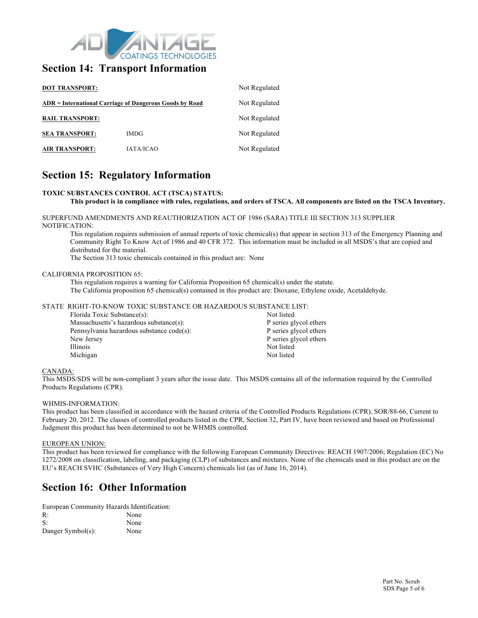

#### **Section 14: Transport Information**

| <b>DOT TRANSPORT:</b><br>ADR = International Carriage of Dangerous Goods by Road |                  | Not Regulated<br>Not Regulated |
|----------------------------------------------------------------------------------|------------------|--------------------------------|
|                                                                                  |                  |                                |
| <b>SEA TRANSPORT:</b>                                                            | <b>IMDG</b>      | Not Regulated                  |
| <b>AIR TRANSPORT:</b>                                                            | <b>JATA/ICAO</b> | Not Regulated                  |

### **Section 15: Regulatory Information**

#### **TOXIC SUBSTANCES CONTROL ACT (TSCA) STATUS:**

#### **This product is in compliance with rules, regulations, and orders of TSCA. All components are listed on the TSCA Inventory.**

SUPERFUND AMENDMENTS AND REAUTHORIZATION ACT OF 1986 (SARA) TITLE III SECTION 313 SUPPLIER NOTIFICATION:

This regulation requires submission of annual reports of toxic chemical(s) that appear in section 313 of the Emergency Planning and Community Right To Know Act of 1986 and 40 CFR 372. This information must be included in all MSDS's that are copied and distributed for the material.

The Section 313 toxic chemicals contained in this product are: None

#### CALIFORNIA PROPOSITION 65:

This regulation requires a warning for California Proposition 65 chemical(s) under the statute. The California proposition 65 chemical(s) contained in this product are: Dioxane, Ethylene oxide, Acetaldehyde.

#### STATE RIGHT-TO-KNOW TOXIC SUBSTANCE OR HAZARDOUS SUBSTANCE LIST:

| Florida Toxic Substance(s):               | Not listed             |
|-------------------------------------------|------------------------|
| Massachusetts's hazardous substance(s):   | P series glycol ethers |
| Pennsylvania hazardous substance code(s): | P series glycol ethers |
| New Jersey                                | P series glycol ethers |
| Illinois                                  | Not listed             |
| Michigan                                  | Not listed             |
|                                           |                        |

#### CANADA:

This MSDS/SDS will be non-compliant 3 years after the issue date. This MSDS contains all of the information required by the Controlled Products Regulations (CPR).

#### WHMIS-INFORMATION:

This product has been classified in accordance with the hazard criteria of the Controlled Products Regulations (CPR), SOR/88-66, Current to February 20, 2012. The classes of controlled products listed in the CPR, Section 32, Part IV, have been reviewed and based on Professional Judgment this product has been determined to not be WHMIS controlled.

#### EUROPEAN UNION:

This product has been reviewed for compliance with the following European Community Directives: REACH 1907/2006; Regulation (EC) No 1272/2008 on classification, labeling, and packaging (CLP) of substances and mixtures. None of the chemicals used in this product are on the EU's REACH SVHC (Substances of Very High Concern) chemicals list (as of June 16, 2014).

#### **Section 16: Other Information**

European Community Hazards Identification:

| R:                | None |
|-------------------|------|
| S:                | None |
| Danger Symbol(s): | None |